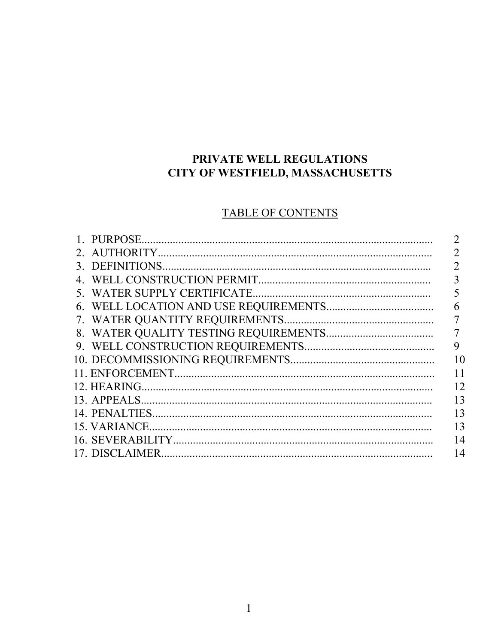### PRIVATE WELL REGULATIONS CITY OF WESTFIELD, MASSACHUSETTS

## **TABLE OF CONTENTS**

|                |                 | 7  |
|----------------|-----------------|----|
|                | 3. DEFINITIONS  | 2  |
| 4              |                 |    |
| 5 <sup>7</sup> |                 |    |
|                |                 | 6  |
|                |                 | 7  |
|                |                 |    |
|                |                 | 9  |
|                |                 | 10 |
|                |                 | 11 |
|                | 12. HEARING.    | 12 |
|                | 13. APPEALS.    | 13 |
|                |                 | 13 |
|                | 15. VARIANCE.   | 13 |
|                |                 | 14 |
|                | 17. DISCLAIMER. | 14 |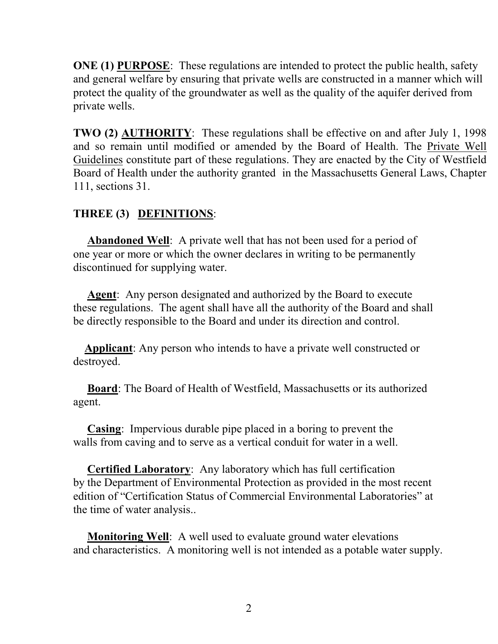**ONE** (1) PURPOSE: These regulations are intended to protect the public health, safety and general welfare by ensuring that private wells are constructed in a manner which will protect the quality of the groundwater as well as the quality of the aquifer derived from private wells.

**TWO (2) AUTHORITY**: These regulations shall be effective on and after July 1, 1998 and so remain until modified or amended by the Board of Health. The Private Well Guidelines constitute part of these regulations. They are enacted by the City of Westfield Board of Health under the authority granted in the Massachusetts General Laws, Chapter 111, sections 31.

#### **THREE (3) DEFINITIONS**:

 **Abandoned Well**: A private well that has not been used for a period of one year or more or which the owner declares in writing to be permanently discontinued for supplying water.

 **Agent**: Any person designated and authorized by the Board to execute these regulations. The agent shall have all the authority of the Board and shall be directly responsible to the Board and under its direction and control.

 **Applicant**: Any person who intends to have a private well constructed or destroyed.

 **Board**: The Board of Health of Westfield, Massachusetts or its authorized agent.

 **Casing**: Impervious durable pipe placed in a boring to prevent the walls from caving and to serve as a vertical conduit for water in a well.

 **Certified Laboratory**: Any laboratory which has full certification by the Department of Environmental Protection as provided in the most recent edition of "Certification Status of Commercial Environmental Laboratories" at the time of water analysis..

 **Monitoring Well**: A well used to evaluate ground water elevations and characteristics. A monitoring well is not intended as a potable water supply.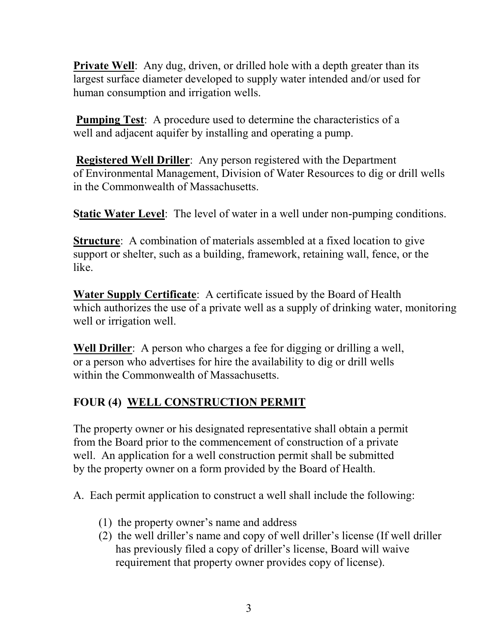**Private Well**: Any dug, driven, or drilled hole with a depth greater than its largest surface diameter developed to supply water intended and/or used for human consumption and irrigation wells.

**Pumping Test**: A procedure used to determine the characteristics of a well and adjacent aquifer by installing and operating a pump.

**Registered Well Driller**: Any person registered with the Department of Environmental Management, Division of Water Resources to dig or drill wells in the Commonwealth of Massachusetts.

**Static Water Level**: The level of water in a well under non-pumping conditions.

**Structure**: A combination of materials assembled at a fixed location to give support or shelter, such as a building, framework, retaining wall, fence, or the like.

**Water Supply Certificate**: A certificate issued by the Board of Health which authorizes the use of a private well as a supply of drinking water, monitoring well or irrigation well.

**Well Driller**: A person who charges a fee for digging or drilling a well, or a person who advertises for hire the availability to dig or drill wells within the Commonwealth of Massachusetts.

## **FOUR (4) WELL CONSTRUCTION PERMIT**

The property owner or his designated representative shall obtain a permit from the Board prior to the commencement of construction of a private well. An application for a well construction permit shall be submitted by the property owner on a form provided by the Board of Health.

A. Each permit application to construct a well shall include the following:

- (1) the property owner's name and address
- (2) the well driller's name and copy of well driller's license (If well driller has previously filed a copy of driller's license, Board will waive requirement that property owner provides copy of license).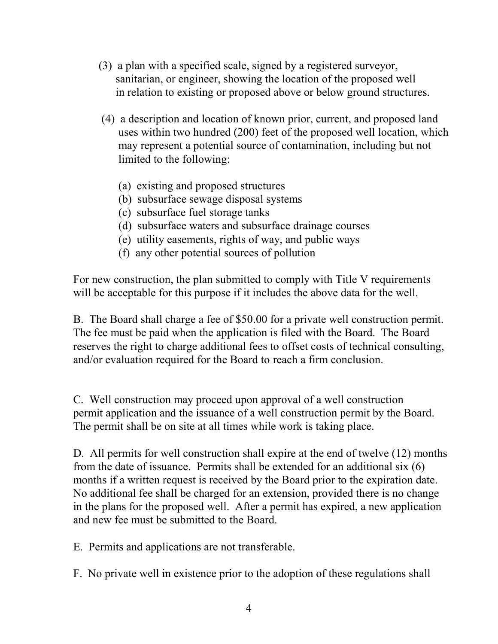- (3) a plan with a specified scale, signed by a registered surveyor, sanitarian, or engineer, showing the location of the proposed well in relation to existing or proposed above or below ground structures.
- (4) a description and location of known prior, current, and proposed land uses within two hundred (200) feet of the proposed well location, which may represent a potential source of contamination, including but not limited to the following:
	- (a) existing and proposed structures
	- (b) subsurface sewage disposal systems
	- (c) subsurface fuel storage tanks
	- (d) subsurface waters and subsurface drainage courses
	- (e) utility easements, rights of way, and public ways
	- (f) any other potential sources of pollution

For new construction, the plan submitted to comply with Title V requirements will be acceptable for this purpose if it includes the above data for the well.

B. The Board shall charge a fee of \$50.00 for a private well construction permit. The fee must be paid when the application is filed with the Board. The Board reserves the right to charge additional fees to offset costs of technical consulting, and/or evaluation required for the Board to reach a firm conclusion.

C. Well construction may proceed upon approval of a well construction permit application and the issuance of a well construction permit by the Board. The permit shall be on site at all times while work is taking place.

D. All permits for well construction shall expire at the end of twelve (12) months from the date of issuance. Permits shall be extended for an additional six (6) months if a written request is received by the Board prior to the expiration date. No additional fee shall be charged for an extension, provided there is no change in the plans for the proposed well. After a permit has expired, a new application and new fee must be submitted to the Board.

E. Permits and applications are not transferable.

F. No private well in existence prior to the adoption of these regulations shall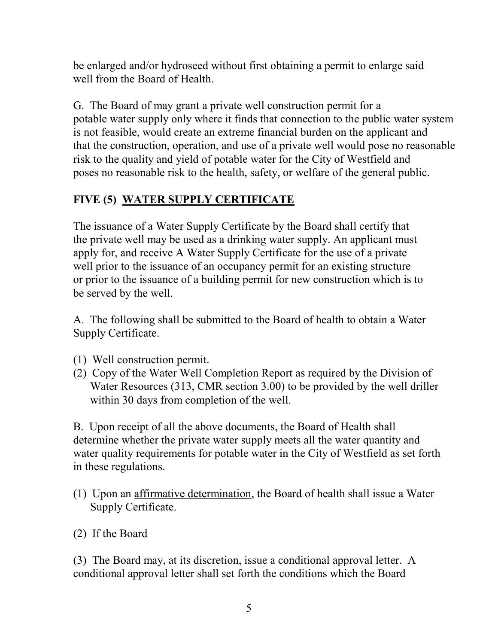be enlarged and/or hydroseed without first obtaining a permit to enlarge said well from the Board of Health.

G. The Board of may grant a private well construction permit for a potable water supply only where it finds that connection to the public water system is not feasible, would create an extreme financial burden on the applicant and that the construction, operation, and use of a private well would pose no reasonable risk to the quality and yield of potable water for the City of Westfield and poses no reasonable risk to the health, safety, or welfare of the general public.

### **FIVE (5) WATER SUPPLY CERTIFICATE**

The issuance of a Water Supply Certificate by the Board shall certify that the private well may be used as a drinking water supply. An applicant must apply for, and receive A Water Supply Certificate for the use of a private well prior to the issuance of an occupancy permit for an existing structure or prior to the issuance of a building permit for new construction which is to be served by the well.

A. The following shall be submitted to the Board of health to obtain a Water Supply Certificate.

- (1) Well construction permit.
- (2) Copy of the Water Well Completion Report as required by the Division of Water Resources (313, CMR section 3.00) to be provided by the well driller within 30 days from completion of the well.

B. Upon receipt of all the above documents, the Board of Health shall determine whether the private water supply meets all the water quantity and water quality requirements for potable water in the City of Westfield as set forth in these regulations.

- (1) Upon an affirmative determination, the Board of health shall issue a Water Supply Certificate.
- (2) If the Board

(3) The Board may, at its discretion, issue a conditional approval letter. A conditional approval letter shall set forth the conditions which the Board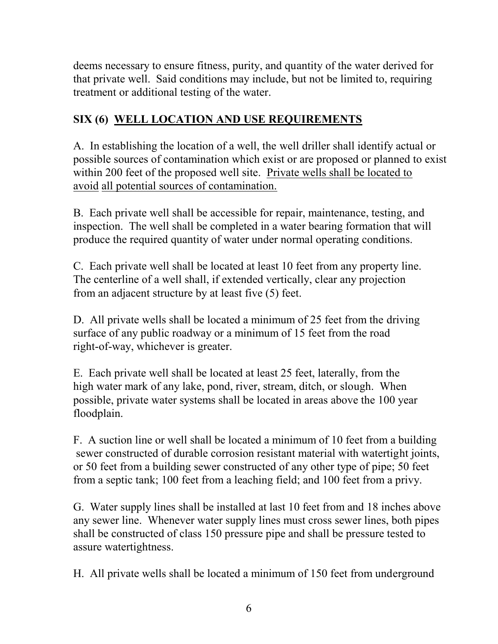deems necessary to ensure fitness, purity, and quantity of the water derived for that private well. Said conditions may include, but not be limited to, requiring treatment or additional testing of the water.

### **SIX (6) WELL LOCATION AND USE REQUIREMENTS**

A. In establishing the location of a well, the well driller shall identify actual or possible sources of contamination which exist or are proposed or planned to exist within 200 feet of the proposed well site. Private wells shall be located to avoid all potential sources of contamination.

B. Each private well shall be accessible for repair, maintenance, testing, and inspection. The well shall be completed in a water bearing formation that will produce the required quantity of water under normal operating conditions.

C. Each private well shall be located at least 10 feet from any property line. The centerline of a well shall, if extended vertically, clear any projection from an adjacent structure by at least five (5) feet.

D. All private wells shall be located a minimum of 25 feet from the driving surface of any public roadway or a minimum of 15 feet from the road right-of-way, whichever is greater.

E. Each private well shall be located at least 25 feet, laterally, from the high water mark of any lake, pond, river, stream, ditch, or slough. When possible, private water systems shall be located in areas above the 100 year floodplain.

F. A suction line or well shall be located a minimum of 10 feet from a building sewer constructed of durable corrosion resistant material with watertight joints, or 50 feet from a building sewer constructed of any other type of pipe; 50 feet from a septic tank; 100 feet from a leaching field; and 100 feet from a privy.

G. Water supply lines shall be installed at last 10 feet from and 18 inches above any sewer line. Whenever water supply lines must cross sewer lines, both pipes shall be constructed of class 150 pressure pipe and shall be pressure tested to assure watertightness.

H. All private wells shall be located a minimum of 150 feet from underground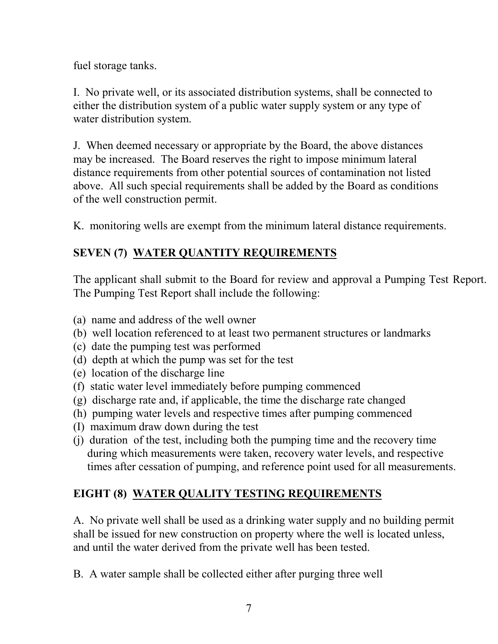fuel storage tanks.

I. No private well, or its associated distribution systems, shall be connected to either the distribution system of a public water supply system or any type of water distribution system.

J. When deemed necessary or appropriate by the Board, the above distances may be increased. The Board reserves the right to impose minimum lateral distance requirements from other potential sources of contamination not listed above. All such special requirements shall be added by the Board as conditions of the well construction permit.

K. monitoring wells are exempt from the minimum lateral distance requirements.

## **SEVEN (7) WATER QUANTITY REQUIREMENTS**

The applicant shall submit to the Board for review and approval a Pumping Test Report. The Pumping Test Report shall include the following:

- (a) name and address of the well owner
- (b) well location referenced to at least two permanent structures or landmarks
- (c) date the pumping test was performed
- (d) depth at which the pump was set for the test
- (e) location of the discharge line
- (f) static water level immediately before pumping commenced
- (g) discharge rate and, if applicable, the time the discharge rate changed
- (h) pumping water levels and respective times after pumping commenced
- (I) maximum draw down during the test
- (j) duration of the test, including both the pumping time and the recovery time during which measurements were taken, recovery water levels, and respective times after cessation of pumping, and reference point used for all measurements.

# **EIGHT (8) WATER QUALITY TESTING REQUIREMENTS**

A. No private well shall be used as a drinking water supply and no building permit shall be issued for new construction on property where the well is located unless, and until the water derived from the private well has been tested.

B. A water sample shall be collected either after purging three well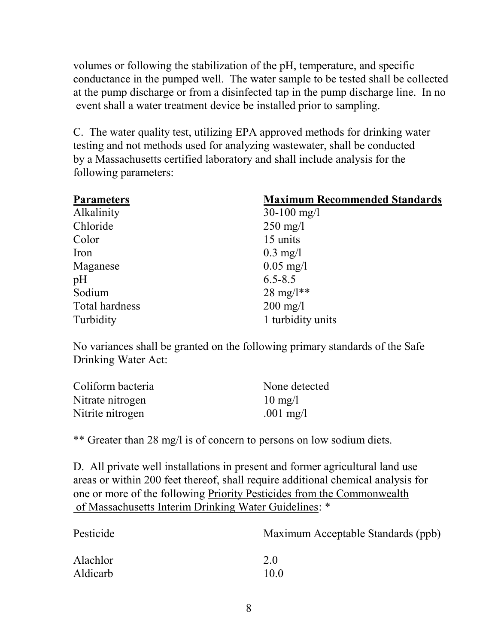volumes or following the stabilization of the pH, temperature, and specific conductance in the pumped well. The water sample to be tested shall be collected at the pump discharge or from a disinfected tap in the pump discharge line. In no event shall a water treatment device be installed prior to sampling.

C. The water quality test, utilizing EPA approved methods for drinking water testing and not methods used for analyzing wastewater, shall be conducted by a Massachusetts certified laboratory and shall include analysis for the following parameters:

| <b>Parameters</b> | <b>Maximum Recommended Standards</b> |  |
|-------------------|--------------------------------------|--|
| Alkalinity        | $30-100$ mg/l                        |  |
| Chloride          | $250 \text{ mg/l}$                   |  |
| Color             | 15 units                             |  |
| Iron              | $0.3 \text{ mg}/1$                   |  |
| Maganese          | $0.05 \text{ mg}/1$                  |  |
| pH                | $6.5 - 8.5$                          |  |
| Sodium            | $28 \text{ mg}/l^*$                  |  |
| Total hardness    | $200 \text{ mg/l}$                   |  |
| Turbidity         | 1 turbidity units                    |  |

No variances shall be granted on the following primary standards of the Safe Drinking Water Act:

| Coliform bacteria | None detected     |
|-------------------|-------------------|
| Nitrate nitrogen  | $10 \text{ mg}/l$ |
| Nitrite nitrogen  | .001 mg/l         |

\*\* Greater than 28 mg/l is of concern to persons on low sodium diets.

D. All private well installations in present and former agricultural land use areas or within 200 feet thereof, shall require additional chemical analysis for one or more of the following Priority Pesticides from the Commonwealth of Massachusetts Interim Drinking Water Guidelines: \*

| Pesticide | Maximum Acceptable Standards (ppb) |
|-----------|------------------------------------|
| Alachlor  | 2.0                                |
| Aldicarb  | 10.0                               |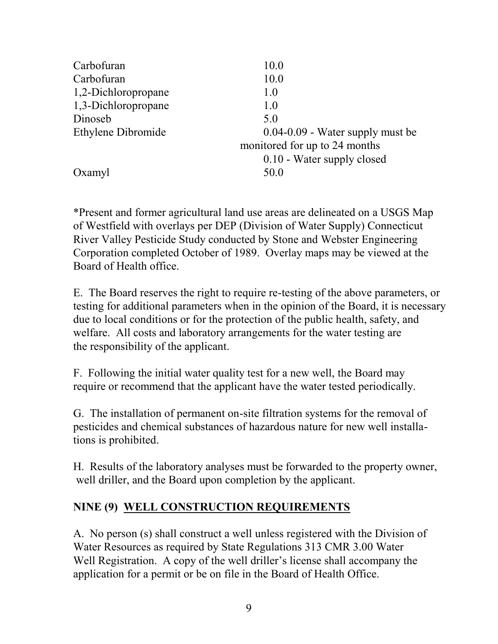| Carbofuran          | 10.0                                 |
|---------------------|--------------------------------------|
| Carbofuran          | 10.0                                 |
| 1,2-Dichloropropane | 1.0                                  |
| 1,3-Dichloropropane | 1.0                                  |
| Dinoseb             | 5.0                                  |
| Ethylene Dibromide  | $0.04 - 0.09$ - Water supply must be |
|                     | monitored for up to 24 months        |
|                     | 0.10 - Water supply closed           |
| Oxamyl              | 50.0                                 |
|                     |                                      |

\*Present and former agricultural land use areas are delineated on a USGS Map of Westfield with overlays per DEP (Division of Water Supply) Connecticut River Valley Pesticide Study conducted by Stone and Webster Engineering Corporation completed October of 1989. Overlay maps may be viewed at the Board of Health office.

E. The Board reserves the right to require re-testing of the above parameters, or testing for additional parameters when in the opinion of the Board, it is necessary due to local conditions or for the protection of the public health, safety, and welfare. All costs and laboratory arrangements for the water testing are the responsibility of the applicant.

F. Following the initial water quality test for a new well, the Board may require or recommend that the applicant have the water tested periodically.

G. The installation of permanent on-site filtration systems for the removal of pesticides and chemical substances of hazardous nature for new well installations is prohibited.

H. Results of the laboratory analyses must be forwarded to the property owner, well driller, and the Board upon completion by the applicant.

#### **NINE (9) WELL CONSTRUCTION REQUIREMENTS**

A.No person (s) shall construct a well unless registered with the Division of Water Resources as required by State Regulations 313 CMR 3.00 Water Well Registration. A copy of the well driller's license shall accompany the application for a permit or be on file in the Board of Health Office.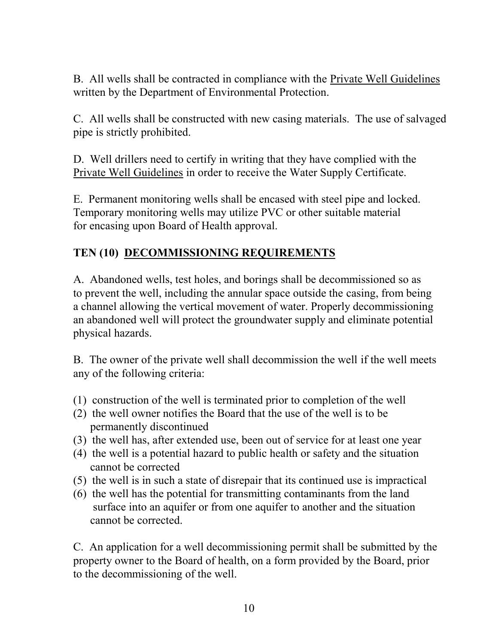B. All wells shall be contracted in compliance with the Private Well Guidelines written by the Department of Environmental Protection.

C. All wells shall be constructed with new casing materials. The use of salvaged pipe is strictly prohibited.

D. Well drillers need to certify in writing that they have complied with the Private Well Guidelines in order to receive the Water Supply Certificate.

E. Permanent monitoring wells shall be encased with steel pipe and locked. Temporary monitoring wells may utilize PVC or other suitable material for encasing upon Board of Health approval.

#### **TEN (10) DECOMMISSIONING REQUIREMENTS**

A. Abandoned wells, test holes, and borings shall be decommissioned so as to prevent the well, including the annular space outside the casing, from being a channel allowing the vertical movement of water. Properly decommissioning an abandoned well will protect the groundwater supply and eliminate potential physical hazards.

B. The owner of the private well shall decommission the well if the well meets any of the following criteria:

- (1) construction of the well is terminated prior to completion of the well
- (2) the well owner notifies the Board that the use of the well is to be permanently discontinued
- (3) the well has, after extended use, been out of service for at least one year
- (4) the well is a potential hazard to public health or safety and the situation cannot be corrected
- (5) the well is in such a state of disrepair that its continued use is impractical
- (6) the well has the potential for transmitting contaminants from the land surface into an aquifer or from one aquifer to another and the situation cannot be corrected.

C. An application for a well decommissioning permit shall be submitted by the property owner to the Board of health, on a form provided by the Board, prior to the decommissioning of the well.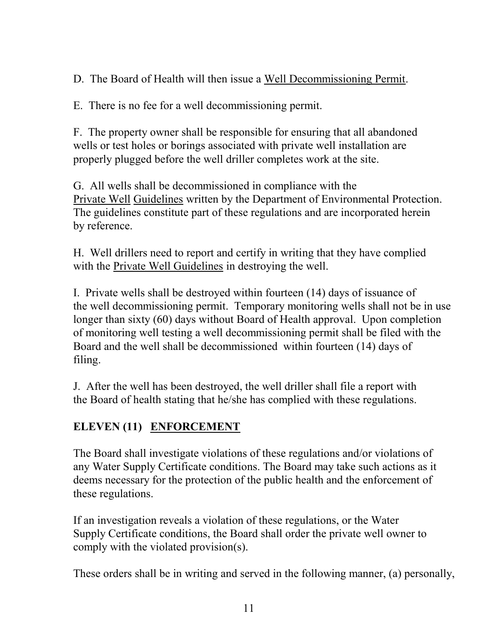D. The Board of Health will then issue a Well Decommissioning Permit.

E. There is no fee for a well decommissioning permit.

F. The property owner shall be responsible for ensuring that all abandoned wells or test holes or borings associated with private well installation are properly plugged before the well driller completes work at the site.

G. All wells shall be decommissioned in compliance with the Private Well Guidelines written by the Department of Environmental Protection. The guidelines constitute part of these regulations and are incorporated herein by reference.

H. Well drillers need to report and certify in writing that they have complied with the Private Well Guidelines in destroying the well.

I. Private wells shall be destroyed within fourteen (14) days of issuance of the well decommissioning permit. Temporary monitoring wells shall not be in use longer than sixty (60) days without Board of Health approval. Upon completion of monitoring well testing a well decommissioning permit shall be filed with the Board and the well shall be decommissioned within fourteen (14) days of filing.

J. After the well has been destroyed, the well driller shall file a report with the Board of health stating that he/she has complied with these regulations.

## **ELEVEN (11) ENFORCEMENT**

The Board shall investigate violations of these regulations and/or violations of any Water Supply Certificate conditions. The Board may take such actions as it deems necessary for the protection of the public health and the enforcement of these regulations.

If an investigation reveals a violation of these regulations, or the Water Supply Certificate conditions, the Board shall order the private well owner to comply with the violated provision(s).

These orders shall be in writing and served in the following manner, (a) personally,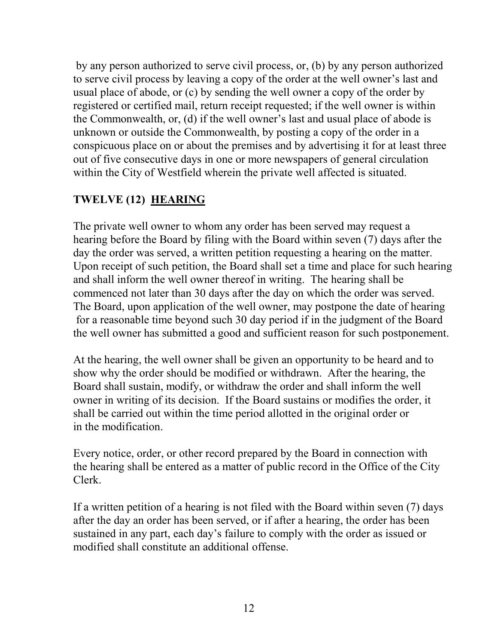by any person authorized to serve civil process, or, (b) by any person authorized to serve civil process by leaving a copy of the order at the well owner's last and usual place of abode, or (c) by sending the well owner a copy of the order by registered or certified mail, return receipt requested; if the well owner is within the Commonwealth, or, (d) if the well owner's last and usual place of abode is unknown or outside the Commonwealth, by posting a copy of the order in a conspicuous place on or about the premises and by advertising it for at least three out of five consecutive days in one or more newspapers of general circulation within the City of Westfield wherein the private well affected is situated.

### **TWELVE (12) HEARING**

The private well owner to whom any order has been served may request a hearing before the Board by filing with the Board within seven (7) days after the day the order was served, a written petition requesting a hearing on the matter. Upon receipt of such petition, the Board shall set a time and place for such hearing and shall inform the well owner thereof in writing. The hearing shall be commenced not later than 30 days after the day on which the order was served. The Board, upon application of the well owner, may postpone the date of hearing for a reasonable time beyond such 30 day period if in the judgment of the Board the well owner has submitted a good and sufficient reason for such postponement.

At the hearing, the well owner shall be given an opportunity to be heard and to show why the order should be modified or withdrawn. After the hearing, the Board shall sustain, modify, or withdraw the order and shall inform the well owner in writing of its decision. If the Board sustains or modifies the order, it shall be carried out within the time period allotted in the original order or in the modification.

Every notice, order, or other record prepared by the Board in connection with the hearing shall be entered as a matter of public record in the Office of the City Clerk.

If a written petition of a hearing is not filed with the Board within seven (7) days after the day an order has been served, or if after a hearing, the order has been sustained in any part, each day's failure to comply with the order as issued or modified shall constitute an additional offense.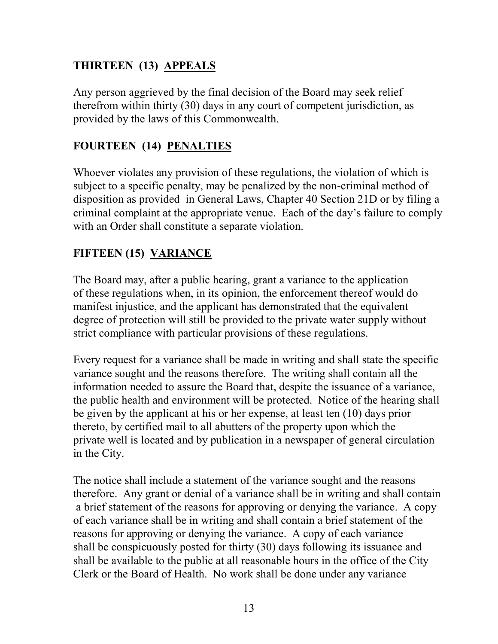## **THIRTEEN (13) APPEALS**

Any person aggrieved by the final decision of the Board may seek relief therefrom within thirty (30) days in any court of competent jurisdiction, as provided by the laws of this Commonwealth.

### **FOURTEEN (14) PENALTIES**

Whoever violates any provision of these regulations, the violation of which is subject to a specific penalty, may be penalized by the non-criminal method of disposition as provided in General Laws, Chapter 40 Section 21D or by filing a criminal complaint at the appropriate venue. Each of the day's failure to comply with an Order shall constitute a separate violation.

#### **FIFTEEN (15) VARIANCE**

The Board may, after a public hearing, grant a variance to the application of these regulations when, in its opinion, the enforcement thereof would do manifest injustice, and the applicant has demonstrated that the equivalent degree of protection will still be provided to the private water supply without strict compliance with particular provisions of these regulations.

Every request for a variance shall be made in writing and shall state the specific variance sought and the reasons therefore. The writing shall contain all the information needed to assure the Board that, despite the issuance of a variance, the public health and environment will be protected. Notice of the hearing shall be given by the applicant at his or her expense, at least ten (10) days prior thereto, by certified mail to all abutters of the property upon which the private well is located and by publication in a newspaper of general circulation in the City.

The notice shall include a statement of the variance sought and the reasons therefore. Any grant or denial of a variance shall be in writing and shall contain a brief statement of the reasons for approving or denying the variance. A copy of each variance shall be in writing and shall contain a brief statement of the reasons for approving or denying the variance. A copy of each variance shall be conspicuously posted for thirty (30) days following its issuance and shall be available to the public at all reasonable hours in the office of the City Clerk or the Board of Health. No work shall be done under any variance